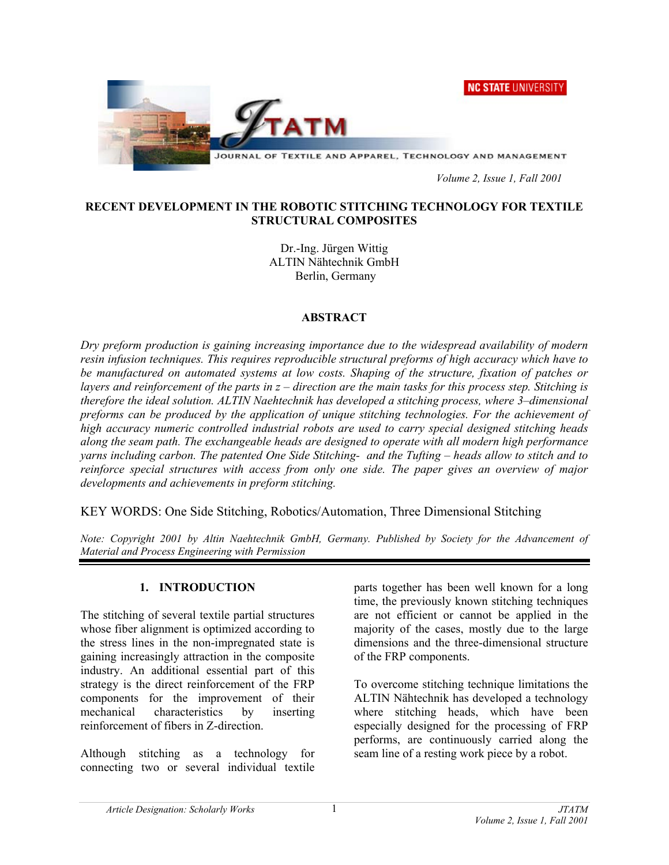



*Volume 2, Issue 1, Fall 2001* 

### **RECENT DEVELOPMENT IN THE ROBOTIC STITCHING TECHNOLOGY FOR TEXTILE STRUCTURAL COMPOSITES**

Dr.-Ing. Jürgen Wittig ALTIN Nähtechnik GmbH Berlin, Germany

### **ABSTRACT**

*Dry preform production is gaining increasing importance due to the widespread availability of modern resin infusion techniques. This requires reproducible structural preforms of high accuracy which have to be manufactured on automated systems at low costs. Shaping of the structure, fixation of patches or layers and reinforcement of the parts in z – direction are the main tasks for this process step. Stitching is therefore the ideal solution. ALTIN Naehtechnik has developed a stitching process, where 3–dimensional preforms can be produced by the application of unique stitching technologies. For the achievement of high accuracy numeric controlled industrial robots are used to carry special designed stitching heads along the seam path. The exchangeable heads are designed to operate with all modern high performance yarns including carbon. The patented One Side Stitching- and the Tufting – heads allow to stitch and to reinforce special structures with access from only one side. The paper gives an overview of major developments and achievements in preform stitching.* 

KEY WORDS: One Side Stitching, Robotics/Automation, Three Dimensional Stitching

*Note: Copyright 2001 by Altin Naehtechnik GmbH, Germany. Published by Society for the Advancement of Material and Process Engineering with Permission* 

## **1. INTRODUCTION**

The stitching of several textile partial structures whose fiber alignment is optimized according to the stress lines in the non-impregnated state is gaining increasingly attraction in the composite industry. An additional essential part of this strategy is the direct reinforcement of the FRP components for the improvement of their mechanical characteristics by inserting reinforcement of fibers in Z-direction.

Although stitching as a technology for connecting two or several individual textile parts together has been well known for a long time, the previously known stitching techniques are not efficient or cannot be applied in the majority of the cases, mostly due to the large dimensions and the three-dimensional structure of the FRP components.

To overcome stitching technique limitations the ALTIN Nähtechnik has developed a technology where stitching heads, which have been especially designed for the processing of FRP performs, are continuously carried along the seam line of a resting work piece by a robot.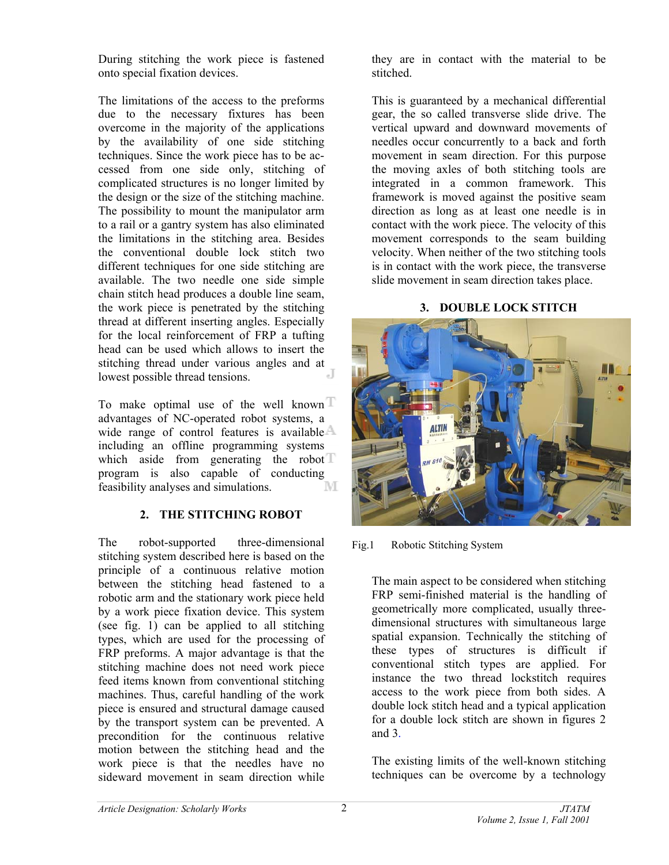During stitching the work piece is fastened onto special fixation devices.

The limitations of the access to the preforms due to the necessary fixtures has been overcome in the majority of the applications by the availability of one side stitching techniques. Since the work piece has to be accessed from one side only, stitching of complicated structures is no longer limited by the design or the size of the stitching machine. The possibility to mount the manipulator arm to a rail or a gantry system has also eliminated the limitations in the stitching area. Besides the conventional double lock stitch two different techniques for one side stitching are available. The two needle one side simple chain stitch head produces a double line seam, the work piece is penetrated by the stitching thread at different inserting angles. Especially for the local reinforcement of FRP a tufting head can be used which allows to insert the stitching thread under various angles and at lowest possible thread tensions lowest possible thread tensions.

To make optimal use of the well known  $\mathbb T$ advantages of NC-operated robot systems, a wide range of control features is available  $\triangle$ including an offline programming systems which aside from generating the robot  $\mathbb T$ program is also capable of conducting feasibility analyses and simulations. M

# **2. THE STITCHING ROBOT**

The robot-supported three-dimensional stitching system described here is based on the principle of a continuous relative motion between the stitching head fastened to a robotic arm and the stationary work piece held by a work piece fixation device. This system (see fig. 1) can be applied to all stitching types, which are used for the processing of FRP preforms. A major advantage is that the stitching machine does not need work piece feed items known from conventional stitching machines. Thus, careful handling of the work piece is ensured and structural damage caused by the transport system can be prevented. A precondition for the continuous relative motion between the stitching head and the work piece is that the needles have no sideward movement in seam direction while

they are in contact with the material to be stitched.

This is guaranteed by a mechanical differential gear, the so called transverse slide drive. The vertical upward and downward movements of needles occur concurrently to a back and forth movement in seam direction. For this purpose the moving axles of both stitching tools are integrated in a common framework. This framework is moved against the positive seam direction as long as at least one needle is in contact with the work piece. The velocity of this movement corresponds to the seam building velocity. When neither of the two stitching tools is in contact with the work piece, the transverse slide movement in seam direction takes place.

# **3. DOUBLE LOCK STITCH**



Fig.1 Robotic Stitching System

The main aspect to be considered when stitching FRP semi-finished material is the handling of geometrically more complicated, usually threedimensional structures with simultaneous large spatial expansion. Technically the stitching of these types of structures is difficult if conventional stitch types are applied. For instance the two thread lockstitch requires access to the work piece from both sides. A double lock stitch head and a typical application for a double lock stitch are shown in figures 2 and 3.

The existing limits of the well-known stitching techniques can be overcome by a technology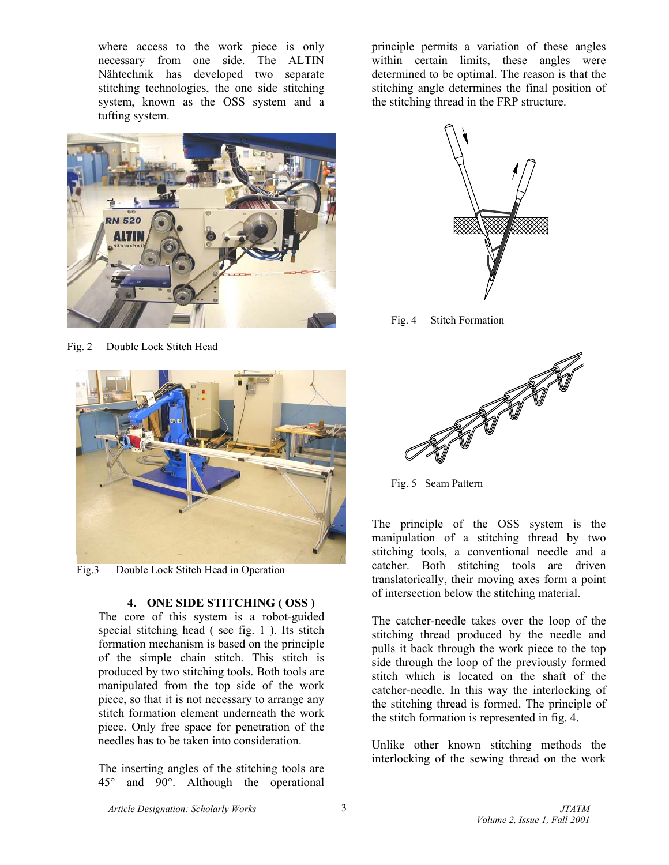where access to the work piece is only necessary from one side. The ALTIN Nähtechnik has developed two separate stitching technologies, the one side stitching system, known as the OSS system and a tufting system.



Fig. 2 Double Lock Stitch Head



Fig.3 Double Lock Stitch Head in Operation

## **4. ONE SIDE STITCHING ( OSS )**

The core of this system is a robot-guided special stitching head ( see fig. 1 ). Its stitch formation mechanism is based on the principle of the simple chain stitch. This stitch is produced by two stitching tools. Both tools are manipulated from the top side of the work piece, so that it is not necessary to arrange any stitch formation element underneath the work piece. Only free space for penetration of the needles has to be taken into consideration.

The inserting angles of the stitching tools are 45° and 90°. Although the operational

principle permits a variation of these angles within certain limits, these angles were determined to be optimal. The reason is that the stitching angle determines the final position of the stitching thread in the FRP structure.



Fig. 4 Stitch Formation



Fig. 5 Seam Pattern

The principle of the OSS system is the manipulation of a stitching thread by two stitching tools, a conventional needle and a catcher. Both stitching tools are driven translatorically, their moving axes form a point of intersection below the stitching material.

The catcher-needle takes over the loop of the stitching thread produced by the needle and pulls it back through the work piece to the top side through the loop of the previously formed stitch which is located on the shaft of the catcher-needle. In this way the interlocking of the stitching thread is formed. The principle of the stitch formation is represented in fig. 4.

Unlike other known stitching methods the interlocking of the sewing thread on the work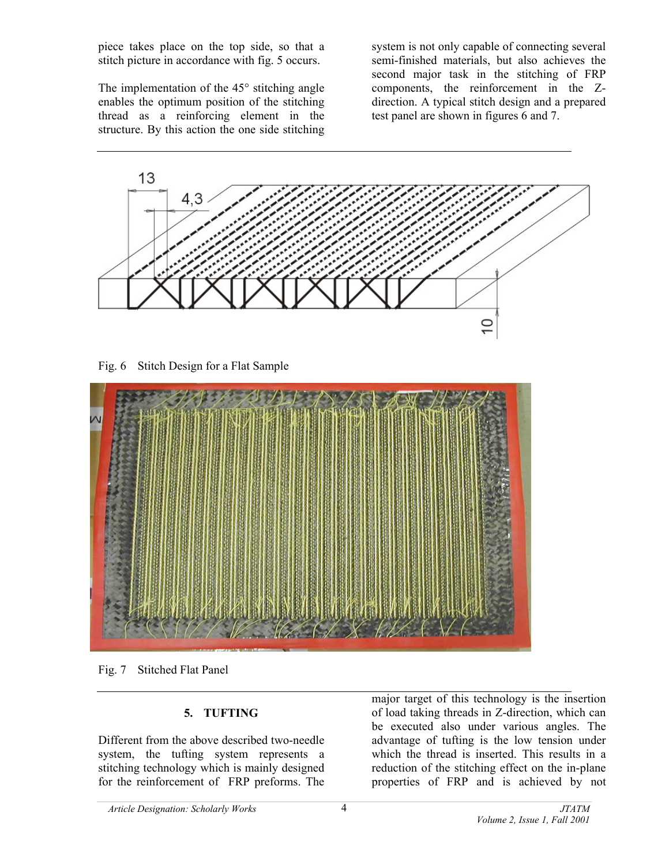piece takes place on the top side, so that a stitch picture in accordance with fig. 5 occurs.

The implementation of the 45° stitching angle enables the optimum position of the stitching thread as a reinforcing element in the structure. By this action the one side stitching system is not only capable of connecting several semi-finished materials, but also achieves the second major task in the stitching of FRP components, the reinforcement in the Zdirection. A typical stitch design and a prepared test panel are shown in figures 6 and 7.



Fig. 6 Stitch Design for a Flat Sample



Fig. 7 Stitched Flat Panel

# **5. TUFTING**

Different from the above described two-needle system, the tufting system represents a stitching technology which is mainly designed for the reinforcement of FRP preforms. The major target of this technology is the insertion of load taking threads in Z-direction, which can be executed also under various angles. The advantage of tufting is the low tension under which the thread is inserted. This results in a reduction of the stitching effect on the in-plane properties of FRP and is achieved by not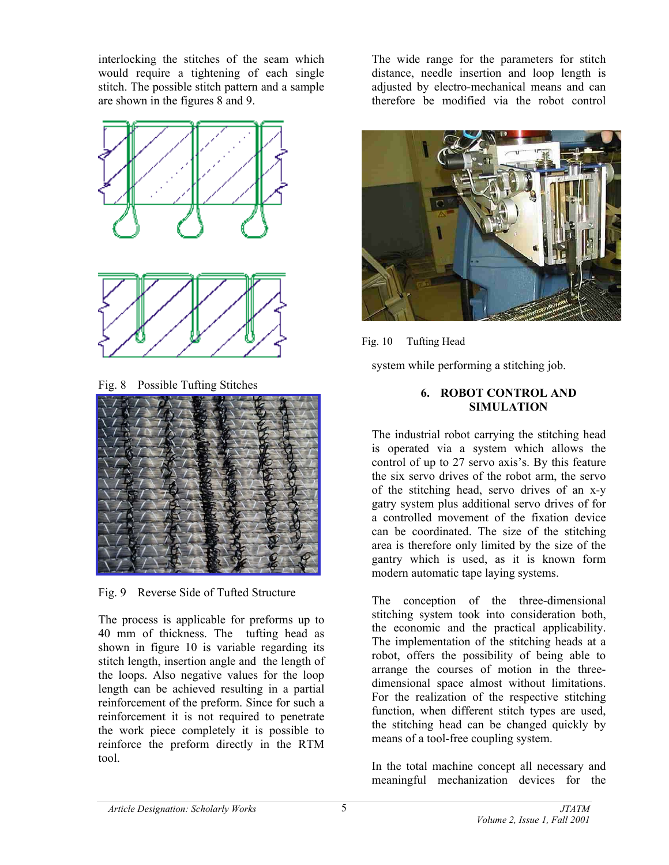interlocking the stitches of the seam which would require a tightening of each single stitch. The possible stitch pattern and a sample are shown in the figures 8 and 9.



Fig. 8 Possible Tufting Stitches



Fig. 9 Reverse Side of Tufted Structure

The process is applicable for preforms up to 40 mm of thickness. The tufting head as shown in figure 10 is variable regarding its stitch length, insertion angle and the length of the loops. Also negative values for the loop length can be achieved resulting in a partial reinforcement of the preform. Since for such a reinforcement it is not required to penetrate the work piece completely it is possible to reinforce the preform directly in the RTM tool.

The wide range for the parameters for stitch distance, needle insertion and loop length is adjusted by electro-mechanical means and can therefore be modified via the robot control



Fig. 10 Tufting Head

system while performing a stitching job.

## **6. ROBOT CONTROL AND SIMULATION**

The industrial robot carrying the stitching head is operated via a system which allows the control of up to 27 servo axis's. By this feature the six servo drives of the robot arm, the servo of the stitching head, servo drives of an x-y gatry system plus additional servo drives of for a controlled movement of the fixation device can be coordinated. The size of the stitching area is therefore only limited by the size of the gantry which is used, as it is known form modern automatic tape laying systems.

The conception of the three-dimensional stitching system took into consideration both, the economic and the practical applicability. The implementation of the stitching heads at a robot, offers the possibility of being able to arrange the courses of motion in the threedimensional space almost without limitations. For the realization of the respective stitching function, when different stitch types are used, the stitching head can be changed quickly by means of a tool-free coupling system.

In the total machine concept all necessary and meaningful mechanization devices for the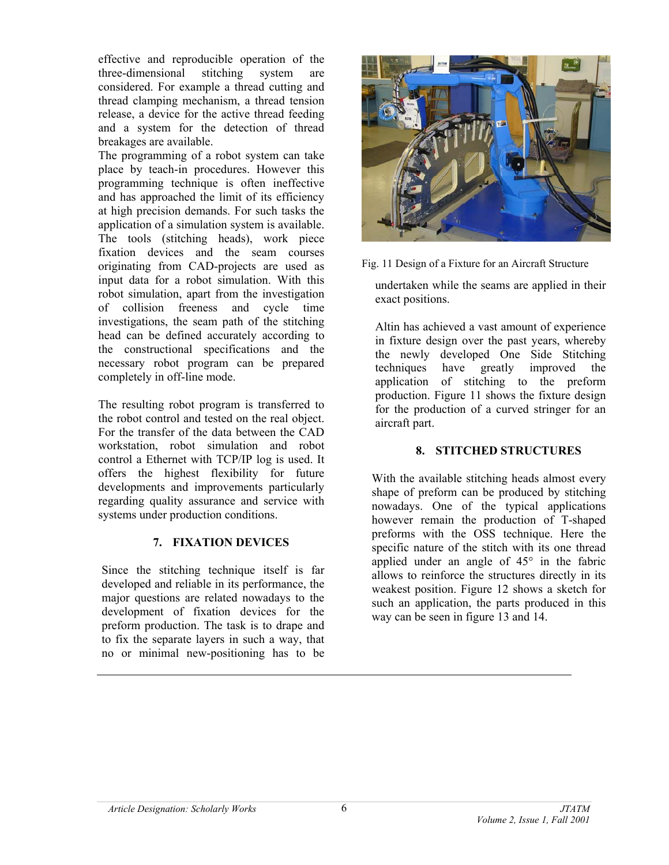effective and reproducible operation of the three-dimensional stitching system are considered. For example a thread cutting and thread clamping mechanism, a thread tension release, a device for the active thread feeding and a system for the detection of thread breakages are available.

The programming of a robot system can take place by teach-in procedures. However this programming technique is often ineffective and has approached the limit of its efficiency at high precision demands. For such tasks the application of a simulation system is available. The tools (stitching heads), work piece fixation devices and the seam courses originating from CAD-projects are used as input data for a robot simulation. With this robot simulation, apart from the investigation of collision freeness and cycle time investigations, the seam path of the stitching head can be defined accurately according to the constructional specifications and the necessary robot program can be prepared completely in off-line mode.

The resulting robot program is transferred to the robot control and tested on the real object. For the transfer of the data between the CAD workstation, robot simulation and robot control a Ethernet with TCP/IP log is used. It offers the highest flexibility for future developments and improvements particularly regarding quality assurance and service with systems under production conditions.

## **7. FIXATION DEVICES**

Since the stitching technique itself is far developed and reliable in its performance, the major questions are related nowadays to the development of fixation devices for the preform production. The task is to drape and to fix the separate layers in such a way, that no or minimal new-positioning has to be



Fig. 11 Design of a Fixture for an Aircraft Structure

undertaken while the seams are applied in their exact positions.

Altin has achieved a vast amount of experience in fixture design over the past years, whereby the newly developed One Side Stitching techniques have greatly improved the application of stitching to the preform production. Figure 11 shows the fixture design for the production of a curved stringer for an aircraft part.

# **8. STITCHED STRUCTURES**

With the available stitching heads almost every shape of preform can be produced by stitching nowadays. One of the typical applications however remain the production of T-shaped preforms with the OSS technique. Here the specific nature of the stitch with its one thread applied under an angle of 45° in the fabric allows to reinforce the structures directly in its weakest position. Figure 12 shows a sketch for such an application, the parts produced in this way can be seen in figure 13 and 14.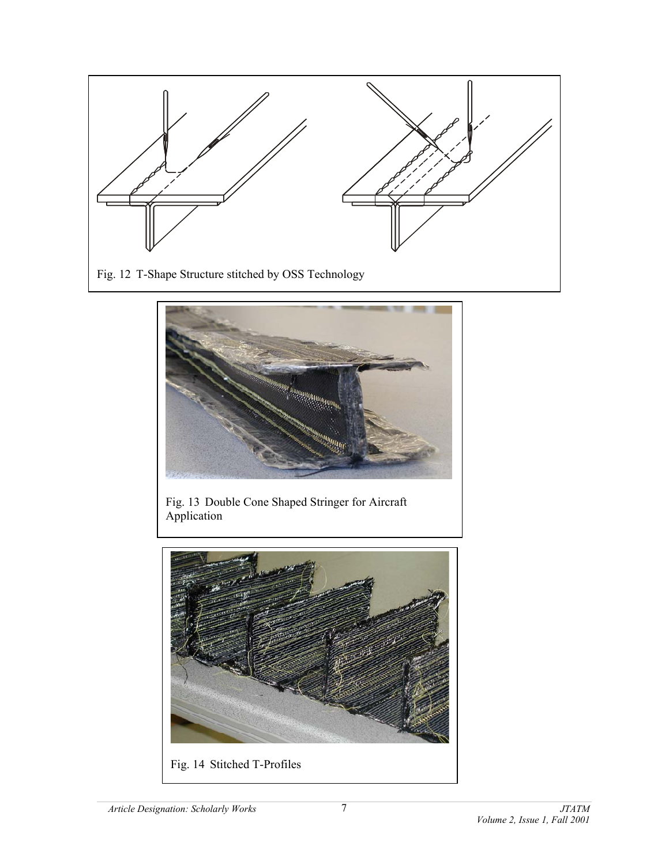



Fig. 13 Double Cone Shaped Stringer for Aircraft Application